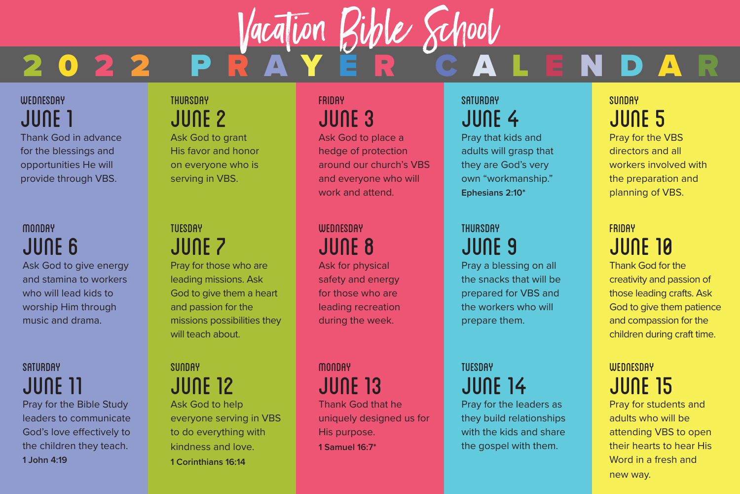# 2 0 2 2 P R A Y É R C A L E N D A R Vacation Bible School

#### **WEDNESDAY** JUNE 1

Thank God in advance for the blessings and opportunities He will provide through VBS.

# **MONDAY** JUNE 6

Ask God to give energy and stamina to workers who will lead kids to worship Him through music and drama.

#### **SATURDAY** JUNE 11

Pray for the Bible Study leaders to communicate God's love effectively to the children they teach. **1 John 4:19**

#### **THURSDAY** JUNE 2 Ask God to grant His favor and honor

on everyone who is serving in VBS.

#### **TUESDAY** JUNE 7

Pray for those who are leading missions. Ask God to give them a heart and passion for the missions possibilities they will teach about.

**SUNDAY** JUNE 12 Ask God to help everyone serving in VBS to do everything with kindness and love. **1 Corinthians 16:14**

#### **FRIDAY** JUNE 3

Ask God to place a hedge of protection around our church's VBS and everyone who will work and attend.

# **WEDNESDAY** JUNE 8

Ask for physical safety and energy for those who are leading recreation during the week.

**MONDAY** JUNE 13 Thank God that he uniquely designed us for His purpose. **1 Samuel 16:7\***

#### **SATURDAY** JUNE 4

Pray that kids and adults will grasp that they are God's very own "workmanship." **Ephesians 2:10\***

# THURSDAY JUNE 9

Pray a blessing on all the snacks that will be prepared for VBS and the workers who will prepare them.

# **TUESDAY** JUNE 14

Pray for the leaders as they build relationships with the kids and share the gospel with them.

#### **SUNDAY** JUNE 5

Pray for the VBS directors and all workers involved with the preparation and planning of VBS.

# FRIDAY JUNE 10

Thank God for the creativity and passion of those leading crafts. Ask God to give them patience and compassion for the children during craft time.

#### **WEDNESDAY** JUNE 15

Pray for students and adults who will be attending VBS to open their hearts to hear His Word in a fresh and new way.